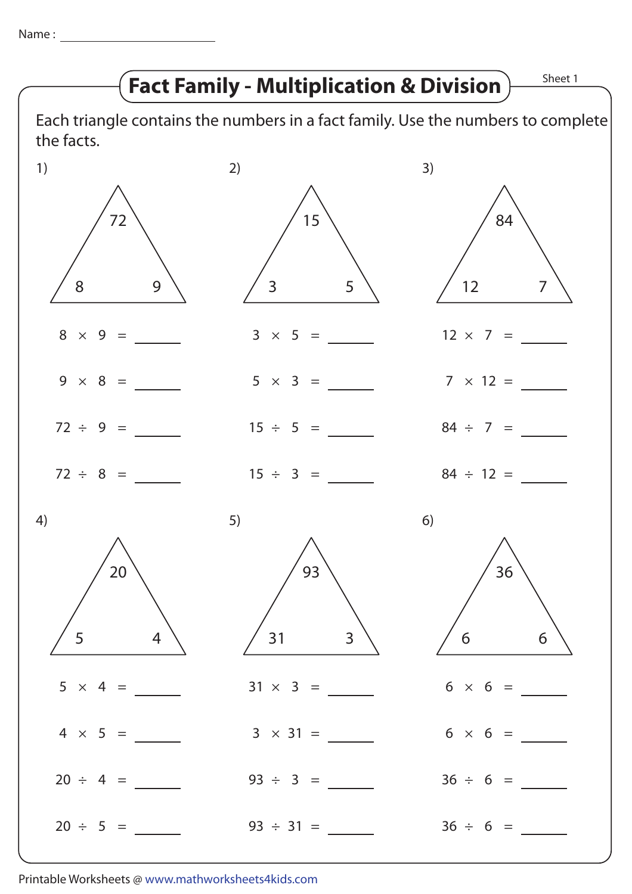Name :



Each triangle contains the numbers in a fact family. Use the numbers to complete



Printable Worksheets @ www.mathworksheets4kids.com